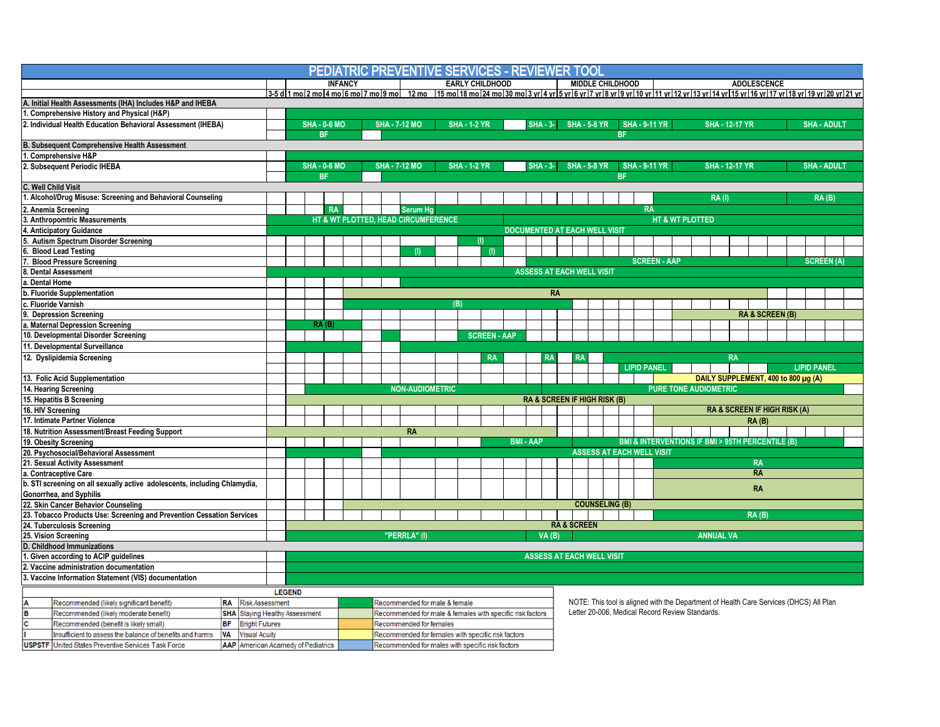| PEDIATRIC PREVENTIVE SERVICES - REVIEWER TOOL                                                                                                               |                                                 |           |                                                                   |  |                                      |                                             |                                                           |  |  |                     |                  |            |                                             |                                                                                                                                           |    |  |                                         |                                  |                                             |  |                                                                                                                                                                                   |                                                                |  |           |                            |                    |                   |  |
|-------------------------------------------------------------------------------------------------------------------------------------------------------------|-------------------------------------------------|-----------|-------------------------------------------------------------------|--|--------------------------------------|---------------------------------------------|-----------------------------------------------------------|--|--|---------------------|------------------|------------|---------------------------------------------|-------------------------------------------------------------------------------------------------------------------------------------------|----|--|-----------------------------------------|----------------------------------|---------------------------------------------|--|-----------------------------------------------------------------------------------------------------------------------------------------------------------------------------------|----------------------------------------------------------------|--|-----------|----------------------------|--------------------|-------------------|--|
|                                                                                                                                                             | <b>INFANCY</b>                                  |           |                                                                   |  |                                      | <b>EARLY CHILDHOOD</b>                      |                                                           |  |  |                     |                  |            |                                             | <b>MIDDLE CHILDHOOD</b>                                                                                                                   |    |  |                                         |                                  |                                             |  | <b>ADOLESCENCE</b>                                                                                                                                                                |                                                                |  |           |                            |                    |                   |  |
|                                                                                                                                                             |                                                 |           |                                                                   |  |                                      |                                             |                                                           |  |  |                     |                  |            |                                             |                                                                                                                                           |    |  |                                         |                                  |                                             |  | 3-5 d 1 mo 2 mo 4 mo 6 mo 7 mo 9 mo  12 mo  15 mo 18 mo 24 mo 30 mo 3 yr 4 yr 5 yr 6 yr 7 yr 8 yr 9 yr 10 yr 11 yr 12 yr 13 yr 14 yr 15 yr 16 yr 17 yr 18 yr 19 yr 20 yr 20 yr 20 |                                                                |  |           |                            |                    |                   |  |
| A. Initial Health Assessments (IHA) Includes H&P and IHEBA                                                                                                  |                                                 |           |                                                                   |  |                                      |                                             |                                                           |  |  |                     |                  |            |                                             |                                                                                                                                           |    |  |                                         |                                  |                                             |  |                                                                                                                                                                                   |                                                                |  |           |                            |                    |                   |  |
| 1. Comprehensive History and Physical (H&P)                                                                                                                 |                                                 |           |                                                                   |  |                                      |                                             |                                                           |  |  |                     |                  |            |                                             |                                                                                                                                           |    |  |                                         |                                  |                                             |  |                                                                                                                                                                                   |                                                                |  |           |                            |                    |                   |  |
| 2. Individual Health Education Behavioral Assessment (IHEBA)                                                                                                |                                                 |           | <b>SHA - 0-6 MO</b>                                               |  |                                      | <b>SHA - 7-12 MO</b><br><b>SHA - 1-2 YR</b> |                                                           |  |  |                     |                  | $SHA - 3-$ | <b>SHA - 5-8 YR</b><br><b>SHA - 9-11 YR</b> |                                                                                                                                           |    |  |                                         |                                  | <b>SHA - 12-17 YR</b><br><b>SHA - ADULT</b> |  |                                                                                                                                                                                   |                                                                |  |           |                            |                    |                   |  |
|                                                                                                                                                             | <b>BF</b>                                       |           |                                                                   |  |                                      |                                             |                                                           |  |  |                     |                  |            |                                             |                                                                                                                                           |    |  |                                         | <b>BF</b>                        |                                             |  |                                                                                                                                                                                   |                                                                |  |           |                            |                    |                   |  |
| <b>B. Subsequent Comprehensive Health Assessment</b>                                                                                                        |                                                 |           |                                                                   |  |                                      |                                             |                                                           |  |  |                     |                  |            |                                             |                                                                                                                                           |    |  |                                         |                                  |                                             |  |                                                                                                                                                                                   |                                                                |  |           |                            |                    |                   |  |
| 1. Comprehensive H&P                                                                                                                                        |                                                 |           |                                                                   |  |                                      |                                             |                                                           |  |  |                     |                  |            |                                             |                                                                                                                                           |    |  |                                         |                                  |                                             |  |                                                                                                                                                                                   |                                                                |  |           |                            |                    |                   |  |
| 2. Subsequent Periodic IHEBA                                                                                                                                |                                                 |           | <b>SHA - 0-6 MO</b>                                               |  |                                      | <b>SHA - 7-12 MO</b><br><b>SHA - 1-2 YR</b> |                                                           |  |  |                     |                  | $SHA - 3-$ | <b>SHA - 5-8 YR</b><br><b>SHA - 9-11 YR</b> |                                                                                                                                           |    |  |                                         |                                  | <b>SHA - 12-17 YR</b><br><b>SHA - ADULT</b> |  |                                                                                                                                                                                   |                                                                |  |           |                            |                    |                   |  |
|                                                                                                                                                             |                                                 |           | <b>BF</b>                                                         |  |                                      |                                             |                                                           |  |  |                     |                  |            | <b>BF</b>                                   |                                                                                                                                           |    |  |                                         |                                  |                                             |  |                                                                                                                                                                                   |                                                                |  |           |                            |                    |                   |  |
| C. Well Child Visit                                                                                                                                         |                                                 |           |                                                                   |  |                                      |                                             |                                                           |  |  |                     |                  |            |                                             |                                                                                                                                           |    |  |                                         |                                  |                                             |  |                                                                                                                                                                                   |                                                                |  |           |                            |                    |                   |  |
| 1. Alcohol/Drug Misuse: Screening and Behavioral Counseling                                                                                                 |                                                 |           |                                                                   |  |                                      |                                             |                                                           |  |  |                     |                  |            |                                             |                                                                                                                                           |    |  |                                         |                                  |                                             |  |                                                                                                                                                                                   | <b>RA(I)</b>                                                   |  |           |                            |                    | RA(B)             |  |
| 2. Anemia Screening                                                                                                                                         |                                                 |           | <b>RA</b>                                                         |  |                                      |                                             | Serum Ha                                                  |  |  |                     |                  |            |                                             |                                                                                                                                           |    |  |                                         | <b>RA</b>                        |                                             |  |                                                                                                                                                                                   |                                                                |  |           |                            |                    |                   |  |
| 3. Anthropomtric Measurements                                                                                                                               |                                                 |           | <b>HT &amp; WT PLOTTED</b><br>HT & WT PLOTTED. HEAD CIRCUMFERENCE |  |                                      |                                             |                                                           |  |  |                     |                  |            |                                             |                                                                                                                                           |    |  |                                         |                                  |                                             |  |                                                                                                                                                                                   |                                                                |  |           |                            |                    |                   |  |
| 4. Anticipatory Guidance                                                                                                                                    |                                                 |           |                                                                   |  | <b>DOCUMENTED AT EACH WELL VISIT</b> |                                             |                                                           |  |  |                     |                  |            |                                             |                                                                                                                                           |    |  |                                         |                                  |                                             |  |                                                                                                                                                                                   |                                                                |  |           |                            |                    |                   |  |
| 5. Autism Spectrum Disorder Screening                                                                                                                       |                                                 |           |                                                                   |  |                                      |                                             |                                                           |  |  | (1)                 |                  |            |                                             |                                                                                                                                           |    |  |                                         |                                  |                                             |  |                                                                                                                                                                                   |                                                                |  |           |                            |                    |                   |  |
| <b>Blood Lead Testing</b>                                                                                                                                   |                                                 |           |                                                                   |  |                                      |                                             |                                                           |  |  | (1)                 |                  |            |                                             |                                                                                                                                           |    |  |                                         |                                  |                                             |  |                                                                                                                                                                                   |                                                                |  |           |                            |                    |                   |  |
| <b>Blood Pressure Screening</b>                                                                                                                             |                                                 |           |                                                                   |  |                                      |                                             |                                                           |  |  |                     |                  |            |                                             |                                                                                                                                           |    |  |                                         | <b>SCREEN - AAP</b>              |                                             |  |                                                                                                                                                                                   |                                                                |  |           |                            |                    | <b>SCREEN (A)</b> |  |
| 8. Dental Assessment                                                                                                                                        |                                                 |           |                                                                   |  |                                      |                                             |                                                           |  |  |                     |                  |            | <b>ASSESS AT EACH WELL VISIT</b>            |                                                                                                                                           |    |  |                                         |                                  |                                             |  |                                                                                                                                                                                   |                                                                |  |           |                            |                    |                   |  |
| a. Dental Home                                                                                                                                              |                                                 |           |                                                                   |  |                                      |                                             |                                                           |  |  |                     |                  |            |                                             |                                                                                                                                           |    |  |                                         |                                  |                                             |  |                                                                                                                                                                                   |                                                                |  |           |                            |                    |                   |  |
| b. Fluoride Supplementation                                                                                                                                 |                                                 | <b>RA</b> |                                                                   |  |                                      |                                             |                                                           |  |  |                     |                  |            |                                             |                                                                                                                                           |    |  |                                         |                                  |                                             |  |                                                                                                                                                                                   |                                                                |  |           |                            |                    |                   |  |
| c. Fluoride Varnish                                                                                                                                         |                                                 | (B)       |                                                                   |  |                                      |                                             |                                                           |  |  |                     |                  |            |                                             |                                                                                                                                           |    |  |                                         |                                  |                                             |  |                                                                                                                                                                                   |                                                                |  |           |                            |                    |                   |  |
| <b>Depression Screening</b>                                                                                                                                 |                                                 |           |                                                                   |  |                                      |                                             |                                                           |  |  |                     |                  |            |                                             |                                                                                                                                           |    |  |                                         |                                  |                                             |  |                                                                                                                                                                                   |                                                                |  |           | <b>RA &amp; SCREEN (B)</b> |                    |                   |  |
| a. Maternal Depression Screening                                                                                                                            |                                                 |           | RA(B)                                                             |  |                                      |                                             |                                                           |  |  |                     |                  |            |                                             |                                                                                                                                           |    |  |                                         |                                  |                                             |  |                                                                                                                                                                                   |                                                                |  |           |                            |                    |                   |  |
| 10. Developmental Disorder Screening                                                                                                                        |                                                 |           |                                                                   |  |                                      |                                             |                                                           |  |  | <b>SCREEN - AAP</b> |                  |            |                                             |                                                                                                                                           |    |  |                                         |                                  |                                             |  |                                                                                                                                                                                   |                                                                |  |           |                            |                    |                   |  |
| 11. Developmental Surveillance                                                                                                                              |                                                 |           |                                                                   |  |                                      |                                             |                                                           |  |  |                     |                  |            |                                             |                                                                                                                                           |    |  |                                         |                                  |                                             |  |                                                                                                                                                                                   |                                                                |  |           |                            |                    |                   |  |
| 12. Dyslipidemia Screening                                                                                                                                  |                                                 |           |                                                                   |  |                                      |                                             |                                                           |  |  | <b>RA</b>           |                  |            | <b>RA</b>                                   |                                                                                                                                           | RA |  |                                         |                                  |                                             |  |                                                                                                                                                                                   | <b>RA</b>                                                      |  |           |                            |                    |                   |  |
|                                                                                                                                                             |                                                 |           |                                                                   |  |                                      |                                             |                                                           |  |  |                     |                  |            |                                             |                                                                                                                                           |    |  |                                         | <b>LIPID PANEL</b>               |                                             |  |                                                                                                                                                                                   |                                                                |  |           |                            | <b>LIPID PANEL</b> |                   |  |
| 13. Folic Acid Supplementation                                                                                                                              |                                                 |           |                                                                   |  |                                      |                                             |                                                           |  |  |                     |                  |            |                                             |                                                                                                                                           |    |  |                                         |                                  |                                             |  |                                                                                                                                                                                   | DAILY SUPPLEMENT, 400 to 800 µg (A)                            |  |           |                            |                    |                   |  |
| 14. Hearing Screening                                                                                                                                       |                                                 |           |                                                                   |  |                                      |                                             | <b>NON-AUDIOMETRIC</b>                                    |  |  |                     |                  |            |                                             |                                                                                                                                           |    |  |                                         |                                  |                                             |  |                                                                                                                                                                                   | <b>PURE TONE AUDIOMETRIC</b>                                   |  |           |                            |                    |                   |  |
| 15. Hepatitis B Screening                                                                                                                                   |                                                 |           |                                                                   |  |                                      |                                             |                                                           |  |  |                     |                  |            |                                             |                                                                                                                                           |    |  | <b>RA &amp; SCREEN IF HIGH RISK (B)</b> |                                  |                                             |  |                                                                                                                                                                                   |                                                                |  |           |                            |                    |                   |  |
| 16. HIV Screening                                                                                                                                           |                                                 |           |                                                                   |  |                                      |                                             |                                                           |  |  |                     |                  |            |                                             |                                                                                                                                           |    |  |                                         |                                  |                                             |  |                                                                                                                                                                                   | <b>RA &amp; SCREEN IF HIGH RISK (A)</b>                        |  |           |                            |                    |                   |  |
| 17. Intimate Partner Violence                                                                                                                               |                                                 |           |                                                                   |  |                                      |                                             |                                                           |  |  |                     |                  |            |                                             |                                                                                                                                           |    |  |                                         |                                  |                                             |  |                                                                                                                                                                                   |                                                                |  | RA(B)     |                            |                    |                   |  |
| 18. Nutrition Assessment/Breast Feeding Support                                                                                                             |                                                 |           |                                                                   |  |                                      |                                             | <b>RA</b>                                                 |  |  |                     |                  |            |                                             |                                                                                                                                           |    |  |                                         |                                  |                                             |  |                                                                                                                                                                                   |                                                                |  |           |                            |                    |                   |  |
| 19. Obesity Screening                                                                                                                                       |                                                 |           |                                                                   |  |                                      |                                             |                                                           |  |  |                     | <b>BMI - AAP</b> |            |                                             |                                                                                                                                           |    |  |                                         |                                  |                                             |  |                                                                                                                                                                                   | <b>BMI &amp; INTERVENTIONS IF BMI &gt; 95TH PERCENTILE (B)</b> |  |           |                            |                    |                   |  |
| 20. Psychosocial/Behavioral Assessment                                                                                                                      |                                                 |           |                                                                   |  |                                      |                                             |                                                           |  |  |                     |                  |            |                                             |                                                                                                                                           |    |  |                                         | <b>ASSESS AT EACH WELL VISIT</b> |                                             |  |                                                                                                                                                                                   |                                                                |  |           |                            |                    |                   |  |
| 21. Sexual Activity Assessment                                                                                                                              |                                                 |           |                                                                   |  |                                      |                                             |                                                           |  |  |                     |                  |            |                                             |                                                                                                                                           |    |  |                                         |                                  |                                             |  |                                                                                                                                                                                   |                                                                |  | <b>RA</b> |                            |                    |                   |  |
| a. Contraceptive Care                                                                                                                                       |                                                 |           |                                                                   |  |                                      |                                             |                                                           |  |  |                     |                  |            |                                             |                                                                                                                                           |    |  |                                         |                                  |                                             |  |                                                                                                                                                                                   |                                                                |  | <b>RA</b> |                            |                    |                   |  |
| b. STI screening on all sexually active adolescents, including Chlamydia,                                                                                   |                                                 |           |                                                                   |  |                                      |                                             |                                                           |  |  |                     |                  |            |                                             |                                                                                                                                           |    |  |                                         |                                  |                                             |  |                                                                                                                                                                                   |                                                                |  | <b>RA</b> |                            |                    |                   |  |
| Gonorrhea, and Syphilis<br>22. Skin Cancer Behavior Counseling                                                                                              |                                                 |           |                                                                   |  |                                      |                                             |                                                           |  |  |                     |                  |            |                                             |                                                                                                                                           |    |  | <b>COUNSELING (B)</b>                   |                                  |                                             |  |                                                                                                                                                                                   |                                                                |  |           |                            |                    |                   |  |
| 23. Tobacco Products Use: Screening and Prevention Cessation Services                                                                                       |                                                 |           |                                                                   |  |                                      |                                             |                                                           |  |  |                     |                  |            |                                             |                                                                                                                                           |    |  |                                         |                                  |                                             |  |                                                                                                                                                                                   |                                                                |  | RA(B)     |                            |                    |                   |  |
| 24. Tuberculosis Screening                                                                                                                                  |                                                 |           |                                                                   |  |                                      |                                             |                                                           |  |  |                     |                  |            |                                             | <b>RA &amp; SCREEN</b>                                                                                                                    |    |  |                                         |                                  |                                             |  |                                                                                                                                                                                   |                                                                |  |           |                            |                    |                   |  |
| 25. Vision Screening                                                                                                                                        |                                                 |           |                                                                   |  |                                      | "PERRLA" (I)                                |                                                           |  |  |                     |                  |            | $VA$ $(B)$                                  |                                                                                                                                           |    |  |                                         |                                  |                                             |  |                                                                                                                                                                                   | <b>ANNUAL VA</b>                                               |  |           |                            |                    |                   |  |
| <b>D. Childhood Immunizations</b>                                                                                                                           |                                                 |           |                                                                   |  |                                      |                                             |                                                           |  |  |                     |                  |            |                                             |                                                                                                                                           |    |  |                                         |                                  |                                             |  |                                                                                                                                                                                   |                                                                |  |           |                            |                    |                   |  |
| 1. Given according to ACIP guidelines                                                                                                                       |                                                 |           |                                                                   |  |                                      |                                             |                                                           |  |  |                     |                  |            | <b>ASSESS AT EACH WELL VISIT</b>            |                                                                                                                                           |    |  |                                         |                                  |                                             |  |                                                                                                                                                                                   |                                                                |  |           |                            |                    |                   |  |
| 2. Vaccine administration documentation                                                                                                                     |                                                 |           |                                                                   |  |                                      |                                             |                                                           |  |  |                     |                  |            |                                             |                                                                                                                                           |    |  |                                         |                                  |                                             |  |                                                                                                                                                                                   |                                                                |  |           |                            |                    |                   |  |
| 3. Vaccine Information Statement (VIS) documentation                                                                                                        |                                                 |           |                                                                   |  |                                      |                                             |                                                           |  |  |                     |                  |            |                                             |                                                                                                                                           |    |  |                                         |                                  |                                             |  |                                                                                                                                                                                   |                                                                |  |           |                            |                    |                   |  |
|                                                                                                                                                             |                                                 |           |                                                                   |  |                                      |                                             |                                                           |  |  |                     |                  |            |                                             |                                                                                                                                           |    |  |                                         |                                  |                                             |  |                                                                                                                                                                                   |                                                                |  |           |                            |                    |                   |  |
|                                                                                                                                                             | <b>LEGEND</b>                                   |           |                                                                   |  |                                      |                                             |                                                           |  |  |                     |                  |            |                                             |                                                                                                                                           |    |  |                                         |                                  |                                             |  |                                                                                                                                                                                   |                                                                |  |           |                            |                    |                   |  |
| $\frac{A}{C}$<br>Recommended (likely significant benefit)                                                                                                   | <b>RA</b><br><b>Risk Assessment</b>             |           |                                                                   |  |                                      | Recommended for male & female               |                                                           |  |  |                     |                  |            |                                             | NOTE: This tool is aligned with the Department of Health Care Services (DHCS) All Plan<br>Letter 20-006. Medical Record Review Standards. |    |  |                                         |                                  |                                             |  |                                                                                                                                                                                   |                                                                |  |           |                            |                    |                   |  |
| Recommended (likely moderate benefit)                                                                                                                       | <b>Staying Healthy Assessment</b><br><b>SHA</b> |           |                                                                   |  |                                      |                                             | Recommended for male & females with specific risk factors |  |  |                     |                  |            |                                             |                                                                                                                                           |    |  |                                         |                                  |                                             |  |                                                                                                                                                                                   |                                                                |  |           |                            |                    |                   |  |
| <b>BF</b><br>Recommended (benefit is likely small)                                                                                                          | <b>Bright Futures</b><br><b>Visual Acuity</b>   |           |                                                                   |  |                                      |                                             | <b>Recommended for females</b>                            |  |  |                     |                  |            |                                             |                                                                                                                                           |    |  |                                         |                                  |                                             |  |                                                                                                                                                                                   |                                                                |  |           |                            |                    |                   |  |
| Insufficient to assess the balance of benefits and harms<br><b>VA</b>                                                                                       |                                                 |           |                                                                   |  |                                      |                                             | Recommended for females with specific risk factors        |  |  |                     |                  |            |                                             |                                                                                                                                           |    |  |                                         |                                  |                                             |  |                                                                                                                                                                                   |                                                                |  |           |                            |                    |                   |  |
| <b>AAP</b> American Acamedy of Pediatrics<br><b>USPSTF</b> United States Preventive Services Task Force<br>Recommended for males with specific risk factors |                                                 |           |                                                                   |  |                                      |                                             |                                                           |  |  |                     |                  |            |                                             |                                                                                                                                           |    |  |                                         |                                  |                                             |  |                                                                                                                                                                                   |                                                                |  |           |                            |                    |                   |  |